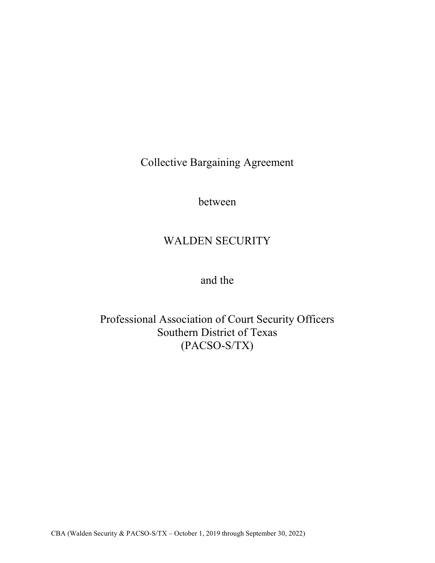Collective Bargaining Agreement

between

# WALDEN SECURITY

and the

Professional Association of Court Security Officers Southern District of Texas (PACSO-S/TX)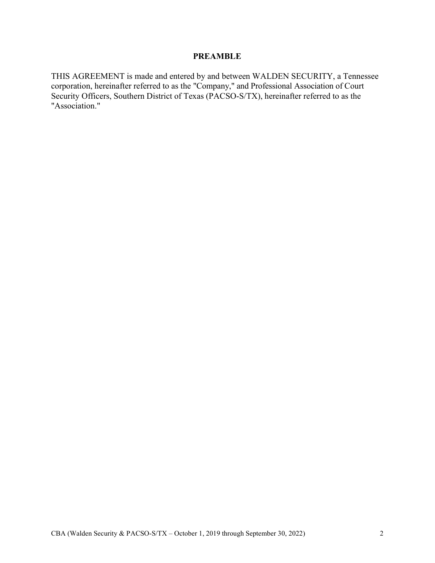# PREAMBLE

THIS AGREEMENT is made and entered by and between WALDEN SECURITY, a Tennessee corporation, hereinafter referred to as the "Company," and Professional Association of Court Security Officers, Southern District of Texas (PACSO-S/TX), hereinafter referred to as the "Association."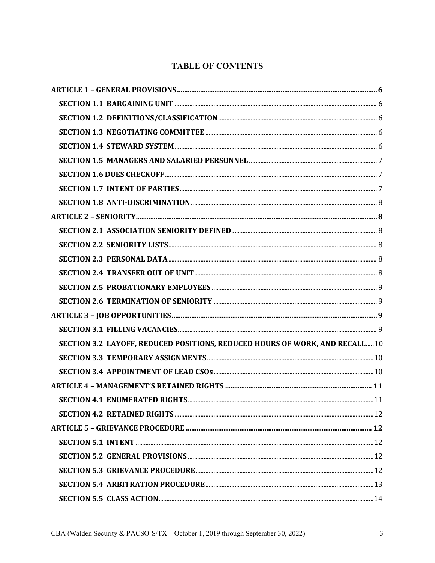# **TABLE OF CONTENTS**

| SECTION 3.2 LAYOFF, REDUCED POSITIONS, REDUCED HOURS OF WORK, AND RECALL 10 |  |
|-----------------------------------------------------------------------------|--|
|                                                                             |  |
|                                                                             |  |
|                                                                             |  |
| <b>SECTION 4.1 ENUMERATED RIGHTS.</b>                                       |  |
|                                                                             |  |
|                                                                             |  |
|                                                                             |  |
|                                                                             |  |
|                                                                             |  |
|                                                                             |  |
|                                                                             |  |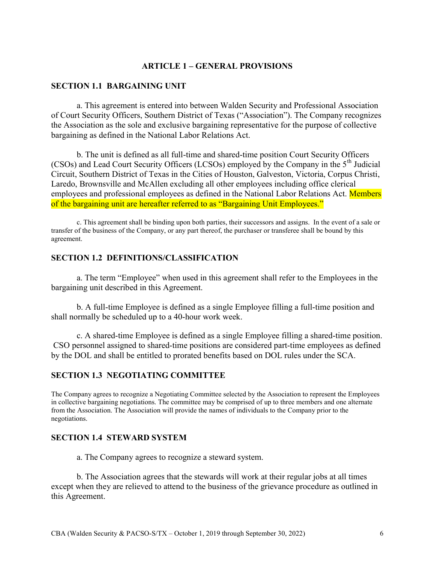#### ARTICLE 1 – GENERAL PROVISIONS

#### SECTION 1.1 BARGAINING UNIT

a. This agreement is entered into between Walden Security and Professional Association of Court Security Officers, Southern District of Texas ("Association"). The Company recognizes the Association as the sole and exclusive bargaining representative for the purpose of collective bargaining as defined in the National Labor Relations Act.

b. The unit is defined as all full-time and shared-time position Court Security Officers (CSOs) and Lead Court Security Officers (LCSOs) employed by the Company in the  $5<sup>th</sup>$  Judicial Circuit, Southern District of Texas in the Cities of Houston, Galveston, Victoria, Corpus Christi, Laredo, Brownsville and McAllen excluding all other employees including office clerical employees and professional employees as defined in the National Labor Relations Act. Members of the bargaining unit are hereafter referred to as "Bargaining Unit Employees."

c. This agreement shall be binding upon both parties, their successors and assigns. In the event of a sale or transfer of the business of the Company, or any part thereof, the purchaser or transferee shall be bound by this agreement.

# SECTION 1.2 DEFINITIONS/CLASSIFICATION

a. The term "Employee" when used in this agreement shall refer to the Employees in the bargaining unit described in this Agreement.

b. A full-time Employee is defined as a single Employee filling a full-time position and shall normally be scheduled up to a 40-hour work week.

c. A shared-time Employee is defined as a single Employee filling a shared-time position. CSO personnel assigned to shared-time positions are considered part-time employees as defined by the DOL and shall be entitled to prorated benefits based on DOL rules under the SCA.

# SECTION 1.3 NEGOTIATING COMMITTEE

The Company agrees to recognize a Negotiating Committee selected by the Association to represent the Employees in collective bargaining negotiations. The committee may be comprised of up to three members and one alternate from the Association. The Association will provide the names of individuals to the Company prior to the negotiations.

#### SECTION 1.4 STEWARD SYSTEM

a. The Company agrees to recognize a steward system.

b. The Association agrees that the stewards will work at their regular jobs at all times except when they are relieved to attend to the business of the grievance procedure as outlined in this Agreement.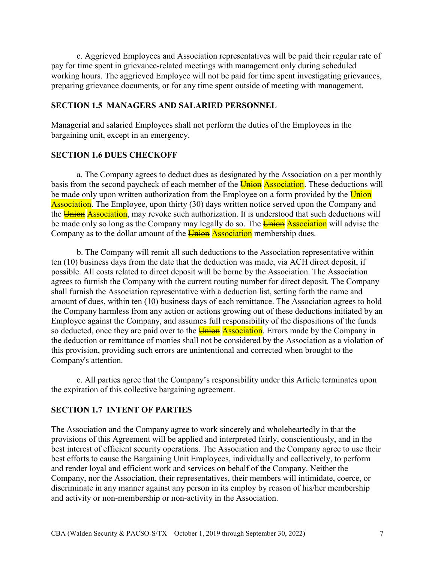c. Aggrieved Employees and Association representatives will be paid their regular rate of pay for time spent in grievance-related meetings with management only during scheduled working hours. The aggrieved Employee will not be paid for time spent investigating grievances, preparing grievance documents, or for any time spent outside of meeting with management.

### SECTION 1.5 MANAGERS AND SALARIED PERSONNEL

Managerial and salaried Employees shall not perform the duties of the Employees in the bargaining unit, except in an emergency.

#### SECTION 1.6 DUES CHECKOFF

a. The Company agrees to deduct dues as designated by the Association on a per monthly basis from the second paycheck of each member of the **Union Association**. These deductions will be made only upon written authorization from the Employee on a form provided by the Union Association. The Employee, upon thirty (30) days written notice served upon the Company and the Union Association, may revoke such authorization. It is understood that such deductions will be made only so long as the Company may legally do so. The **Union Association** will advise the Company as to the dollar amount of the **Union** Association membership dues.

b. The Company will remit all such deductions to the Association representative within ten (10) business days from the date that the deduction was made, via ACH direct deposit, if possible. All costs related to direct deposit will be borne by the Association. The Association agrees to furnish the Company with the current routing number for direct deposit. The Company shall furnish the Association representative with a deduction list, setting forth the name and amount of dues, within ten (10) business days of each remittance. The Association agrees to hold the Company harmless from any action or actions growing out of these deductions initiated by an Employee against the Company, and assumes full responsibility of the dispositions of the funds so deducted, once they are paid over to the **Union Association**. Errors made by the Company in the deduction or remittance of monies shall not be considered by the Association as a violation of this provision, providing such errors are unintentional and corrected when brought to the Company's attention.

c. All parties agree that the Company's responsibility under this Article terminates upon the expiration of this collective bargaining agreement.

#### SECTION 1.7 INTENT OF PARTIES

The Association and the Company agree to work sincerely and wholeheartedly in that the provisions of this Agreement will be applied and interpreted fairly, conscientiously, and in the best interest of efficient security operations. The Association and the Company agree to use their best efforts to cause the Bargaining Unit Employees, individually and collectively, to perform and render loyal and efficient work and services on behalf of the Company. Neither the Company, nor the Association, their representatives, their members will intimidate, coerce, or discriminate in any manner against any person in its employ by reason of his/her membership and activity or non-membership or non-activity in the Association.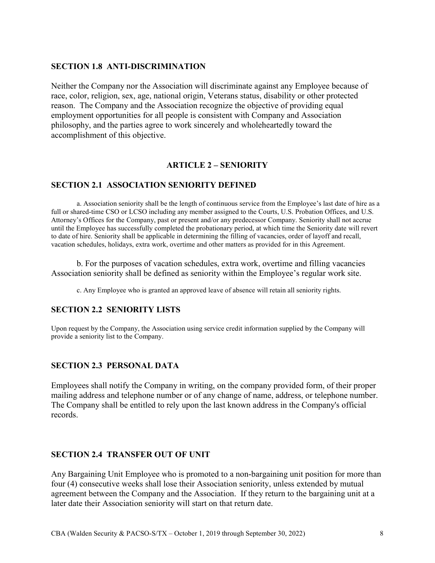# SECTION 1.8 ANTI-DISCRIMINATION

Neither the Company nor the Association will discriminate against any Employee because of race, color, religion, sex, age, national origin, Veterans status, disability or other protected reason. The Company and the Association recognize the objective of providing equal employment opportunities for all people is consistent with Company and Association philosophy, and the parties agree to work sincerely and wholeheartedly toward the accomplishment of this objective.

# ARTICLE 2 – SENIORITY

# SECTION 2.1 ASSOCIATION SENIORITY DEFINED

a. Association seniority shall be the length of continuous service from the Employee's last date of hire as a full or shared-time CSO or LCSO including any member assigned to the Courts, U.S. Probation Offices, and U.S. Attorney's Offices for the Company, past or present and/or any predecessor Company. Seniority shall not accrue until the Employee has successfully completed the probationary period, at which time the Seniority date will revert to date of hire. Seniority shall be applicable in determining the filling of vacancies, order of layoff and recall, vacation schedules, holidays, extra work, overtime and other matters as provided for in this Agreement.

b. For the purposes of vacation schedules, extra work, overtime and filling vacancies Association seniority shall be defined as seniority within the Employee's regular work site.

c. Any Employee who is granted an approved leave of absence will retain all seniority rights.

#### SECTION 2.2 SENIORITY LISTS

Upon request by the Company, the Association using service credit information supplied by the Company will provide a seniority list to the Company.

# SECTION 2.3 PERSONAL DATA

Employees shall notify the Company in writing, on the company provided form, of their proper mailing address and telephone number or of any change of name, address, or telephone number. The Company shall be entitled to rely upon the last known address in the Company's official records.

#### SECTION 2.4 TRANSFER OUT OF UNIT

Any Bargaining Unit Employee who is promoted to a non-bargaining unit position for more than four (4) consecutive weeks shall lose their Association seniority, unless extended by mutual agreement between the Company and the Association. If they return to the bargaining unit at a later date their Association seniority will start on that return date.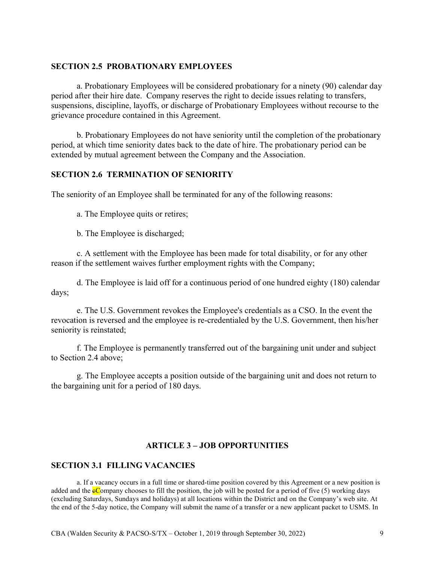#### SECTION 2.5 PROBATIONARY EMPLOYEES

a. Probationary Employees will be considered probationary for a ninety (90) calendar day period after their hire date. Company reserves the right to decide issues relating to transfers, suspensions, discipline, layoffs, or discharge of Probationary Employees without recourse to the grievance procedure contained in this Agreement.

b. Probationary Employees do not have seniority until the completion of the probationary period, at which time seniority dates back to the date of hire. The probationary period can be extended by mutual agreement between the Company and the Association.

#### SECTION 2.6 TERMINATION OF SENIORITY

The seniority of an Employee shall be terminated for any of the following reasons:

a. The Employee quits or retires;

b. The Employee is discharged;

c. A settlement with the Employee has been made for total disability, or for any other reason if the settlement waives further employment rights with the Company;

d. The Employee is laid off for a continuous period of one hundred eighty (180) calendar days;

e. The U.S. Government revokes the Employee's credentials as a CSO. In the event the revocation is reversed and the employee is re-credentialed by the U.S. Government, then his/her seniority is reinstated;

f. The Employee is permanently transferred out of the bargaining unit under and subject to Section 2.4 above;

g. The Employee accepts a position outside of the bargaining unit and does not return to the bargaining unit for a period of 180 days.

# ARTICLE 3 – JOB OPPORTUNITIES

#### SECTION 3.1 FILLING VACANCIES

a. If a vacancy occurs in a full time or shared-time position covered by this Agreement or a new position is added and the  $\epsilon$ Company chooses to fill the position, the job will be posted for a period of five (5) working days (excluding Saturdays, Sundays and holidays) at all locations within the District and on the Company's web site. At the end of the 5-day notice, the Company will submit the name of a transfer or a new applicant packet to USMS. In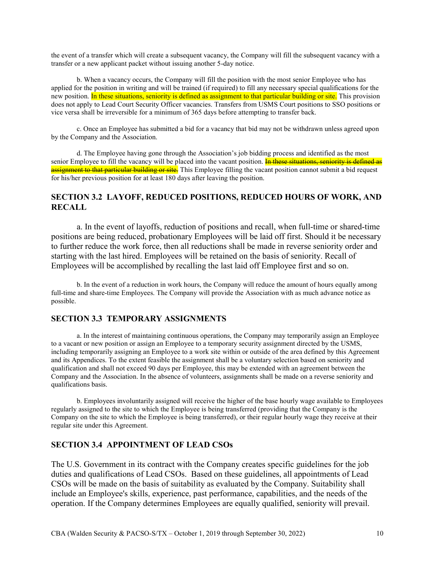the event of a transfer which will create a subsequent vacancy, the Company will fill the subsequent vacancy with a transfer or a new applicant packet without issuing another 5-day notice.

b. When a vacancy occurs, the Company will fill the position with the most senior Employee who has applied for the position in writing and will be trained (if required) to fill any necessary special qualifications for the new position. In these situations, seniority is defined as assignment to that particular building or site. This provision does not apply to Lead Court Security Officer vacancies. Transfers from USMS Court positions to SSO positions or vice versa shall be irreversible for a minimum of 365 days before attempting to transfer back.

c. Once an Employee has submitted a bid for a vacancy that bid may not be withdrawn unless agreed upon by the Company and the Association.

d. The Employee having gone through the Association's job bidding process and identified as the most senior Employee to fill the vacancy will be placed into the vacant position. In these situations, seniority is defined as assignment to that particular building or site. This Employee filling the vacant position cannot submit a bid request for his/her previous position for at least 180 days after leaving the position.

#### SECTION 3.2 LAYOFF, REDUCED POSITIONS, REDUCED HOURS OF WORK, AND **RECALL**

a. In the event of layoffs, reduction of positions and recall, when full-time or shared-time positions are being reduced, probationary Employees will be laid off first. Should it be necessary to further reduce the work force, then all reductions shall be made in reverse seniority order and starting with the last hired. Employees will be retained on the basis of seniority. Recall of Employees will be accomplished by recalling the last laid off Employee first and so on.

b. In the event of a reduction in work hours, the Company will reduce the amount of hours equally among full-time and share-time Employees. The Company will provide the Association with as much advance notice as possible.

#### SECTION 3.3 TEMPORARY ASSIGNMENTS

a. In the interest of maintaining continuous operations, the Company may temporarily assign an Employee to a vacant or new position or assign an Employee to a temporary security assignment directed by the USMS, including temporarily assigning an Employee to a work site within or outside of the area defined by this Agreement and its Appendices. To the extent feasible the assignment shall be a voluntary selection based on seniority and qualification and shall not exceed 90 days per Employee, this may be extended with an agreement between the Company and the Association. In the absence of volunteers, assignments shall be made on a reverse seniority and qualifications basis.

b. Employees involuntarily assigned will receive the higher of the base hourly wage available to Employees regularly assigned to the site to which the Employee is being transferred (providing that the Company is the Company on the site to which the Employee is being transferred), or their regular hourly wage they receive at their regular site under this Agreement.

#### SECTION 3.4 APPOINTMENT OF LEAD CSOs

The U.S. Government in its contract with the Company creates specific guidelines for the job duties and qualifications of Lead CSOs. Based on these guidelines, all appointments of Lead CSOs will be made on the basis of suitability as evaluated by the Company. Suitability shall include an Employee's skills, experience, past performance, capabilities, and the needs of the operation. If the Company determines Employees are equally qualified, seniority will prevail.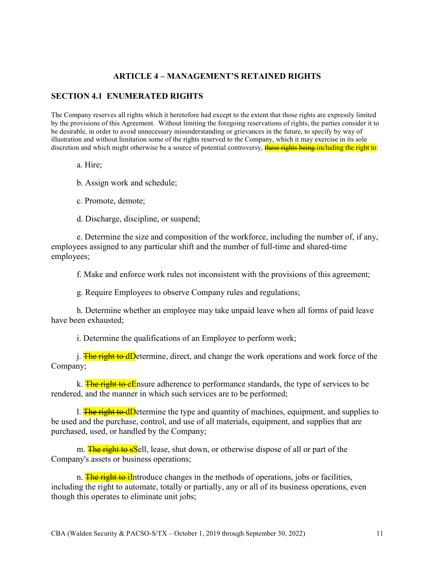# ARTICLE 4 – MANAGEMENT'S RETAINED RIGHTS

#### SECTION 4.1 ENUMERATED RIGHTS

The Company reserves all rights which it heretofore had except to the extent that those rights are expressly limited by the provisions of this Agreement. Without limiting the foregoing reservations of rights, the parties consider it to be desirable, in order to avoid unnecessary misunderstanding or grievances in the future, to specify by way of illustration and without limitation some of the rights reserved to the Company, which it may exercise in its sole discretion and which might otherwise be a source of potential controversy, these rights being including the right to:

a. Hire;

b. Assign work and schedule;

c. Promote, demote;

d. Discharge, discipline, or suspend;

e. Determine the size and composition of the workforce, including the number of, if any, employees assigned to any particular shift and the number of full-time and shared-time employees;

f. Make and enforce work rules not inconsistent with the provisions of this agreement;

g. Require Employees to observe Company rules and regulations;

h. Determine whether an employee may take unpaid leave when all forms of paid leave have been exhausted;

i. Determine the qualifications of an Employee to perform work;

j. **The right to dD**etermine, direct, and change the work operations and work force of the Company;

k. The right to eEnsure adherence to performance standards, the type of services to be rendered, and the manner in which such services are to be performed;

l. The right to dD etermine the type and quantity of machines, equipment, and supplies to be used and the purchase, control, and use of all materials, equipment, and supplies that are purchased, used, or handled by the Company;

m. **The right to sS**ell, lease, shut down, or otherwise dispose of all or part of the Company's assets or business operations;

n. The right to illet introduce changes in the methods of operations, jobs or facilities, including the right to automate, totally or partially, any or all of its business operations, even though this operates to eliminate unit jobs;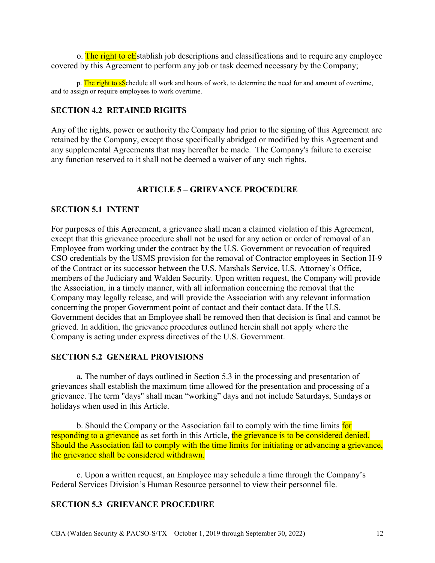o. The right to eEstablish job descriptions and classifications and to require any employee covered by this Agreement to perform any job or task deemed necessary by the Company;

p. The right to sSchedule all work and hours of work, to determine the need for and amount of overtime, and to assign or require employees to work overtime.

# SECTION 4.2 RETAINED RIGHTS

Any of the rights, power or authority the Company had prior to the signing of this Agreement are retained by the Company, except those specifically abridged or modified by this Agreement and any supplemental Agreements that may hereafter be made. The Company's failure to exercise any function reserved to it shall not be deemed a waiver of any such rights.

# ARTICLE 5 – GRIEVANCE PROCEDURE

#### SECTION 5.1 INTENT

For purposes of this Agreement, a grievance shall mean a claimed violation of this Agreement, except that this grievance procedure shall not be used for any action or order of removal of an Employee from working under the contract by the U.S. Government or revocation of required CSO credentials by the USMS provision for the removal of Contractor employees in Section H-9 of the Contract or its successor between the U.S. Marshals Service, U.S. Attorney's Office, members of the Judiciary and Walden Security. Upon written request, the Company will provide the Association, in a timely manner, with all information concerning the removal that the Company may legally release, and will provide the Association with any relevant information concerning the proper Government point of contact and their contact data. If the U.S. Government decides that an Employee shall be removed then that decision is final and cannot be grieved. In addition, the grievance procedures outlined herein shall not apply where the Company is acting under express directives of the U.S. Government.

#### SECTION 5.2 GENERAL PROVISIONS

a. The number of days outlined in Section 5.3 in the processing and presentation of grievances shall establish the maximum time allowed for the presentation and processing of a grievance. The term "days" shall mean "working" days and not include Saturdays, Sundays or holidays when used in this Article.

b. Should the Company or the Association fail to comply with the time limits for responding to a grievance as set forth in this Article, the grievance is to be considered denied. Should the Association fail to comply with the time limits for initiating or advancing a grievance, the grievance shall be considered withdrawn.

c. Upon a written request, an Employee may schedule a time through the Company's Federal Services Division's Human Resource personnel to view their personnel file.

#### SECTION 5.3 GRIEVANCE PROCEDURE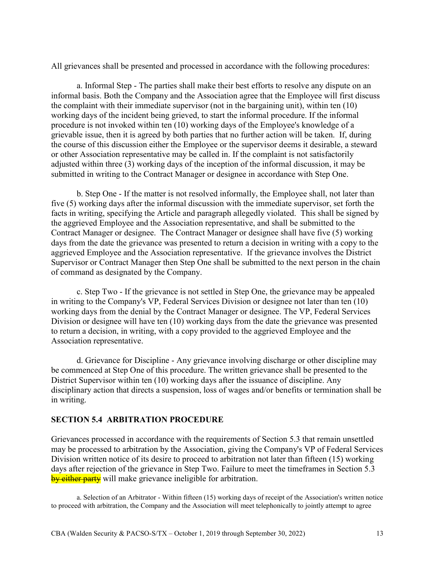All grievances shall be presented and processed in accordance with the following procedures:

a. Informal Step - The parties shall make their best efforts to resolve any dispute on an informal basis. Both the Company and the Association agree that the Employee will first discuss the complaint with their immediate supervisor (not in the bargaining unit), within ten (10) working days of the incident being grieved, to start the informal procedure. If the informal procedure is not invoked within ten (10) working days of the Employee's knowledge of a grievable issue, then it is agreed by both parties that no further action will be taken. If, during the course of this discussion either the Employee or the supervisor deems it desirable, a steward or other Association representative may be called in. If the complaint is not satisfactorily adjusted within three (3) working days of the inception of the informal discussion, it may be submitted in writing to the Contract Manager or designee in accordance with Step One.

b. Step One - If the matter is not resolved informally, the Employee shall, not later than five (5) working days after the informal discussion with the immediate supervisor, set forth the facts in writing, specifying the Article and paragraph allegedly violated. This shall be signed by the aggrieved Employee and the Association representative, and shall be submitted to the Contract Manager or designee. The Contract Manager or designee shall have five (5) working days from the date the grievance was presented to return a decision in writing with a copy to the aggrieved Employee and the Association representative. If the grievance involves the District Supervisor or Contract Manager then Step One shall be submitted to the next person in the chain of command as designated by the Company.

c. Step Two - If the grievance is not settled in Step One, the grievance may be appealed in writing to the Company's VP, Federal Services Division or designee not later than ten (10) working days from the denial by the Contract Manager or designee. The VP, Federal Services Division or designee will have ten (10) working days from the date the grievance was presented to return a decision, in writing, with a copy provided to the aggrieved Employee and the Association representative.

d. Grievance for Discipline - Any grievance involving discharge or other discipline may be commenced at Step One of this procedure. The written grievance shall be presented to the District Supervisor within ten (10) working days after the issuance of discipline. Any disciplinary action that directs a suspension, loss of wages and/or benefits or termination shall be in writing.

#### SECTION 5.4 ARBITRATION PROCEDURE

Grievances processed in accordance with the requirements of Section 5.3 that remain unsettled may be processed to arbitration by the Association, giving the Company's VP of Federal Services Division written notice of its desire to proceed to arbitration not later than fifteen (15) working days after rejection of the grievance in Step Two. Failure to meet the timeframes in Section 5.3 by either party will make grievance ineligible for arbitration.

a. Selection of an Arbitrator - Within fifteen (15) working days of receipt of the Association's written notice to proceed with arbitration, the Company and the Association will meet telephonically to jointly attempt to agree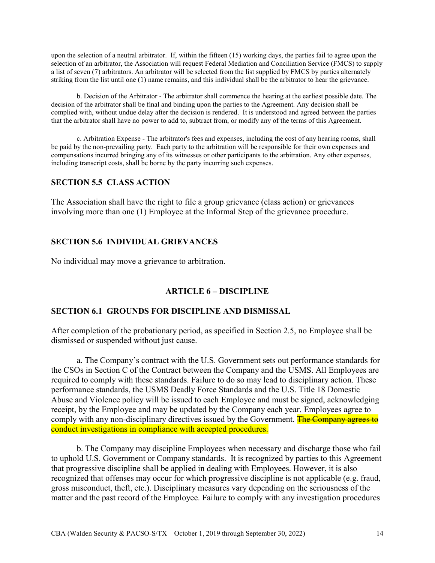upon the selection of a neutral arbitrator. If, within the fifteen (15) working days, the parties fail to agree upon the selection of an arbitrator, the Association will request Federal Mediation and Conciliation Service (FMCS) to supply a list of seven (7) arbitrators. An arbitrator will be selected from the list supplied by FMCS by parties alternately striking from the list until one (1) name remains, and this individual shall be the arbitrator to hear the grievance.

b. Decision of the Arbitrator - The arbitrator shall commence the hearing at the earliest possible date. The decision of the arbitrator shall be final and binding upon the parties to the Agreement. Any decision shall be complied with, without undue delay after the decision is rendered. It is understood and agreed between the parties that the arbitrator shall have no power to add to, subtract from, or modify any of the terms of this Agreement.

c. Arbitration Expense - The arbitrator's fees and expenses, including the cost of any hearing rooms, shall be paid by the non-prevailing party. Each party to the arbitration will be responsible for their own expenses and compensations incurred bringing any of its witnesses or other participants to the arbitration. Any other expenses, including transcript costs, shall be borne by the party incurring such expenses.

# SECTION 5.5 CLASS ACTION

The Association shall have the right to file a group grievance (class action) or grievances involving more than one (1) Employee at the Informal Step of the grievance procedure.

# SECTION 5.6 INDIVIDUAL GRIEVANCES

No individual may move a grievance to arbitration.

#### ARTICLE 6 – DISCIPLINE

#### SECTION 6.1 GROUNDS FOR DISCIPLINE AND DISMISSAL

After completion of the probationary period, as specified in Section 2.5, no Employee shall be dismissed or suspended without just cause.

a. The Company's contract with the U.S. Government sets out performance standards for the CSOs in Section C of the Contract between the Company and the USMS. All Employees are required to comply with these standards. Failure to do so may lead to disciplinary action. These performance standards, the USMS Deadly Force Standards and the U.S. Title 18 Domestic Abuse and Violence policy will be issued to each Employee and must be signed, acknowledging receipt, by the Employee and may be updated by the Company each year. Employees agree to comply with any non-disciplinary directives issued by the Government. The Company agrees to conduct investigations in compliance with accepted procedures.

b. The Company may discipline Employees when necessary and discharge those who fail to uphold U.S. Government or Company standards. It is recognized by parties to this Agreement that progressive discipline shall be applied in dealing with Employees. However, it is also recognized that offenses may occur for which progressive discipline is not applicable (e.g. fraud, gross misconduct, theft, etc.). Disciplinary measures vary depending on the seriousness of the matter and the past record of the Employee. Failure to comply with any investigation procedures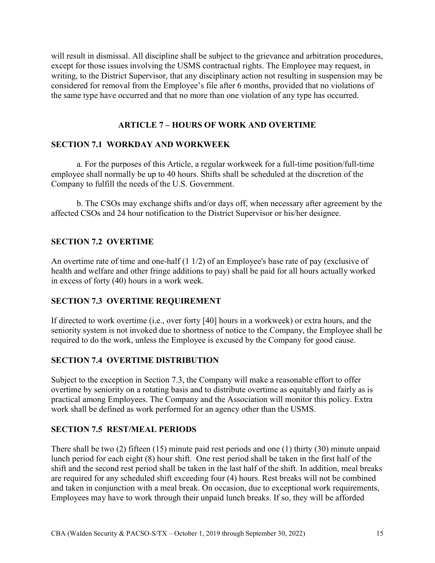will result in dismissal. All discipline shall be subject to the grievance and arbitration procedures, except for those issues involving the USMS contractual rights. The Employee may request, in writing, to the District Supervisor, that any disciplinary action not resulting in suspension may be considered for removal from the Employee's file after 6 months, provided that no violations of the same type have occurred and that no more than one violation of any type has occurred.

# ARTICLE 7 – HOURS OF WORK AND OVERTIME

# SECTION 7.1 WORKDAY AND WORKWEEK

a. For the purposes of this Article, a regular workweek for a full-time position/full-time employee shall normally be up to 40 hours. Shifts shall be scheduled at the discretion of the Company to fulfill the needs of the U.S. Government.

b. The CSOs may exchange shifts and/or days off, when necessary after agreement by the affected CSOs and 24 hour notification to the District Supervisor or his/her designee.

# SECTION 7.2 OVERTIME

An overtime rate of time and one-half (1 1/2) of an Employee's base rate of pay (exclusive of health and welfare and other fringe additions to pay) shall be paid for all hours actually worked in excess of forty (40) hours in a work week.

# SECTION 7.3 OVERTIME REQUIREMENT

If directed to work overtime (i.e., over forty [40] hours in a workweek) or extra hours, and the seniority system is not invoked due to shortness of notice to the Company, the Employee shall be required to do the work, unless the Employee is excused by the Company for good cause.

# SECTION 7.4 OVERTIME DISTRIBUTION

Subject to the exception in Section 7.3, the Company will make a reasonable effort to offer overtime by seniority on a rotating basis and to distribute overtime as equitably and fairly as is practical among Employees. The Company and the Association will monitor this policy. Extra work shall be defined as work performed for an agency other than the USMS.

# SECTION 7.5 REST/MEAL PERIODS

There shall be two (2) fifteen (15) minute paid rest periods and one (1) thirty (30) minute unpaid lunch period for each eight (8) hour shift. One rest period shall be taken in the first half of the shift and the second rest period shall be taken in the last half of the shift. In addition, meal breaks are required for any scheduled shift exceeding four (4) hours. Rest breaks will not be combined and taken in conjunction with a meal break. On occasion, due to exceptional work requirements, Employees may have to work through their unpaid lunch breaks. If so, they will be afforded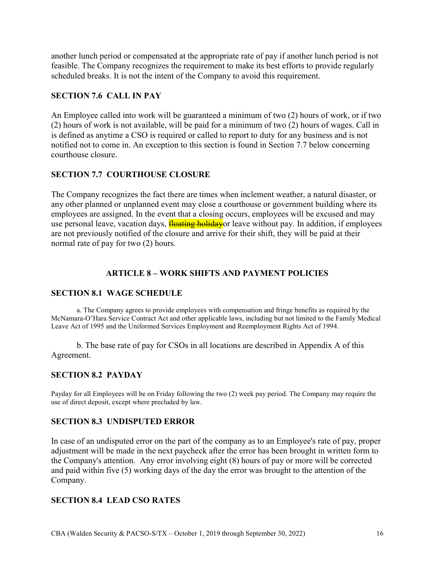another lunch period or compensated at the appropriate rate of pay if another lunch period is not feasible. The Company recognizes the requirement to make its best efforts to provide regularly scheduled breaks. It is not the intent of the Company to avoid this requirement.

# SECTION 7.6 CALL IN PAY

An Employee called into work will be guaranteed a minimum of two (2) hours of work, or if two (2) hours of work is not available, will be paid for a minimum of two (2) hours of wages. Call in is defined as anytime a CSO is required or called to report to duty for any business and is not notified not to come in. An exception to this section is found in Section 7.7 below concerning courthouse closure.

# SECTION 7.7 COURTHOUSE CLOSURE

The Company recognizes the fact there are times when inclement weather, a natural disaster, or any other planned or unplanned event may close a courthouse or government building where its employees are assigned. In the event that a closing occurs, employees will be excused and may use personal leave, vacation days, **floating holiday** or leave without pay. In addition, if employees are not previously notified of the closure and arrive for their shift, they will be paid at their normal rate of pay for two (2) hours.

# ARTICLE 8 – WORK SHIFTS AND PAYMENT POLICIES

# SECTION 8.1 WAGE SCHEDULE

a. The Company agrees to provide employees with compensation and fringe benefits as required by the McNamara-O'Hara Service Contract Act and other applicable laws, including but not limited to the Family Medical Leave Act of 1995 and the Uniformed Services Employment and Reemployment Rights Act of 1994.

b. The base rate of pay for CSOs in all locations are described in Appendix A of this Agreement.

# SECTION 8.2 PAYDAY

Payday for all Employees will be on Friday following the two (2) week pay period. The Company may require the use of direct deposit, except where precluded by law.

# SECTION 8.3 UNDISPUTED ERROR

In case of an undisputed error on the part of the company as to an Employee's rate of pay, proper adjustment will be made in the next paycheck after the error has been brought in written form to the Company's attention. Any error involving eight (8) hours of pay or more will be corrected and paid within five (5) working days of the day the error was brought to the attention of the Company.

# SECTION 8.4 LEAD CSO RATES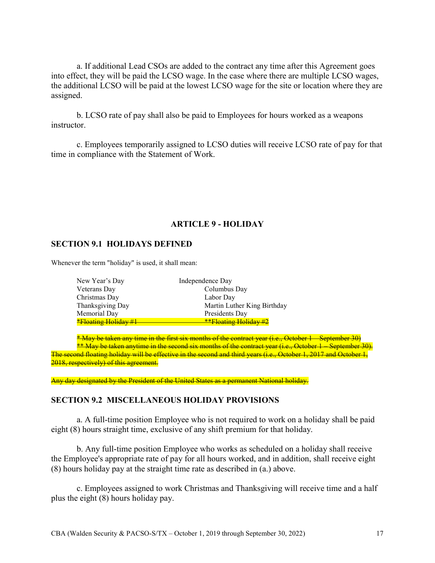a. If additional Lead CSOs are added to the contract any time after this Agreement goes into effect, they will be paid the LCSO wage. In the case where there are multiple LCSO wages, the additional LCSO will be paid at the lowest LCSO wage for the site or location where they are assigned.

b. LCSO rate of pay shall also be paid to Employees for hours worked as a weapons instructor.

c. Employees temporarily assigned to LCSO duties will receive LCSO rate of pay for that time in compliance with the Statement of Work.

#### ARTICLE 9 - HOLIDAY

#### SECTION 9.1 HOLIDAYS DEFINED

Whenever the term "holiday" is used, it shall mean:

| New Year's Day       | Independence Day             |
|----------------------|------------------------------|
| Veterans Day         | Columbus Day                 |
| Christmas Day        | Labor Day                    |
| Thanksgiving Day     | Martin Luther King Birthday  |
| Memorial Day         | Presidents Day               |
| *Floating Holiday #1 | $*$ $F$ loating Holiday $\#$ |

\* May be taken any time in the first six months of the contract year (i.e., October 1 – September 30) \*\* May be taken anytime in the second six months of the contract year (i.e., October 1 – September 30). The second floating holiday will be effective in the second and third years (i.e., October 1, 2017 and October 1, 2018, respectively) of this agreement.

Any day designated by the President of the United States as a permanent National holiday.

#### SECTION 9.2 MISCELLANEOUS HOLIDAY PROVISIONS

a. A full-time position Employee who is not required to work on a holiday shall be paid eight (8) hours straight time, exclusive of any shift premium for that holiday.

b. Any full-time position Employee who works as scheduled on a holiday shall receive the Employee's appropriate rate of pay for all hours worked, and in addition, shall receive eight (8) hours holiday pay at the straight time rate as described in (a.) above.

c. Employees assigned to work Christmas and Thanksgiving will receive time and a half plus the eight (8) hours holiday pay.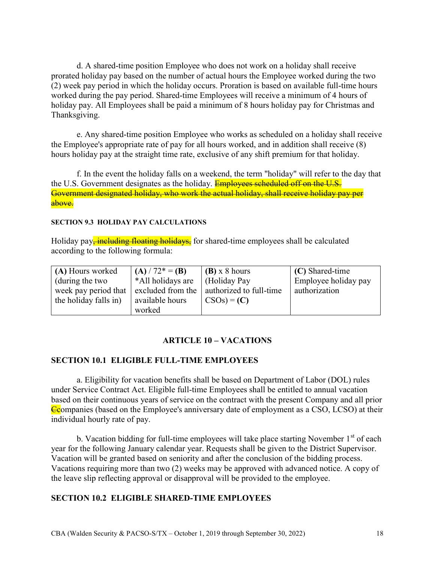d. A shared-time position Employee who does not work on a holiday shall receive prorated holiday pay based on the number of actual hours the Employee worked during the two (2) week pay period in which the holiday occurs. Proration is based on available full-time hours worked during the pay period. Shared-time Employees will receive a minimum of 4 hours of holiday pay. All Employees shall be paid a minimum of 8 hours holiday pay for Christmas and Thanksgiving.

e. Any shared-time position Employee who works as scheduled on a holiday shall receive the Employee's appropriate rate of pay for all hours worked, and in addition shall receive (8) hours holiday pay at the straight time rate, exclusive of any shift premium for that holiday.

f. In the event the holiday falls on a weekend, the term "holiday" will refer to the day that the U.S. Government designates as the holiday. **Employees scheduled off on the U.S.** Government designated holiday, who work the actual holiday, shall receive holiday pay per above.

SECTION 9.3 HOLIDAY PAY CALCULATIONS

Holiday pay<del>, including floating holidays,</del> for shared-time employees shall be calculated according to the following formula:

| (A) Hours worked                 | (A) $/72^* = (B)$ | $(B)$ x 8 hours         | (C) Shared-time      |
|----------------------------------|-------------------|-------------------------|----------------------|
| (during the two                  | *All holidays are | (Holiday Pay            | Employee holiday pay |
| week pay period that $\parallel$ | excluded from the | authorized to full-time | authorization        |
| the holiday falls in)            | available hours   | $CSOs$ = (C)            |                      |
|                                  | worked            |                         |                      |

#### ARTICLE 10 – VACATIONS

#### SECTION 10.1 ELIGIBLE FULL-TIME EMPLOYEES

a. Eligibility for vacation benefits shall be based on Department of Labor (DOL) rules under Service Contract Act. Eligible full-time Employees shall be entitled to annual vacation based on their continuous years of service on the contract with the present Company and all prior Ccompanies (based on the Employee's anniversary date of employment as a CSO, LCSO) at their individual hourly rate of pay.

b. Vacation bidding for full-time employees will take place starting November  $1<sup>st</sup>$  of each year for the following January calendar year. Requests shall be given to the District Supervisor. Vacation will be granted based on seniority and after the conclusion of the bidding process. Vacations requiring more than two (2) weeks may be approved with advanced notice. A copy of the leave slip reflecting approval or disapproval will be provided to the employee.

#### SECTION 10.2 ELIGIBLE SHARED-TIME EMPLOYEES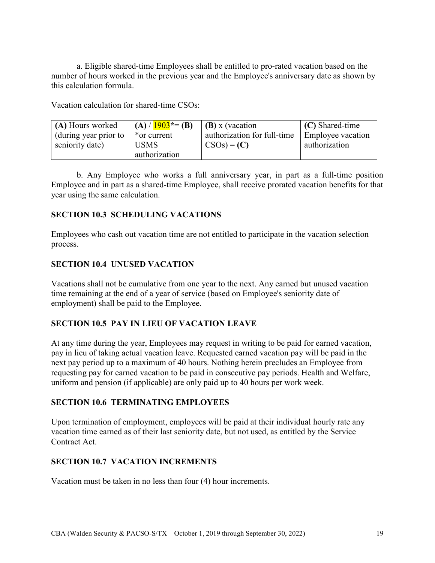a. Eligible shared-time Employees shall be entitled to pro-rated vacation based on the number of hours worked in the previous year and the Employee's anniversary date as shown by this calculation formula.

Vacation calculation for shared-time CSOs:

| (A) Hours worked     | $(A) / 1903^* = (B)$ | (B) x (vacation             | $(C)$ Shared-time        |
|----------------------|----------------------|-----------------------------|--------------------------|
| during year prior to | *or current          | authorization for full-time | <b>Employee vacation</b> |
| seniority date)      | <b>USMS</b>          | $CSOs$ = (C)                | authorization            |
|                      | authorization        |                             |                          |

b. Any Employee who works a full anniversary year, in part as a full-time position Employee and in part as a shared-time Employee, shall receive prorated vacation benefits for that year using the same calculation.

# SECTION 10.3 SCHEDULING VACATIONS

Employees who cash out vacation time are not entitled to participate in the vacation selection process.

# SECTION 10.4 UNUSED VACATION

Vacations shall not be cumulative from one year to the next. Any earned but unused vacation time remaining at the end of a year of service (based on Employee's seniority date of employment) shall be paid to the Employee.

# SECTION 10.5 PAY IN LIEU OF VACATION LEAVE

At any time during the year, Employees may request in writing to be paid for earned vacation, pay in lieu of taking actual vacation leave. Requested earned vacation pay will be paid in the next pay period up to a maximum of 40 hours. Nothing herein precludes an Employee from requesting pay for earned vacation to be paid in consecutive pay periods. Health and Welfare, uniform and pension (if applicable) are only paid up to 40 hours per work week.

#### SECTION 10.6 TERMINATING EMPLOYEES

Upon termination of employment, employees will be paid at their individual hourly rate any vacation time earned as of their last seniority date, but not used, as entitled by the Service Contract Act.

#### SECTION 10.7 VACATION INCREMENTS

Vacation must be taken in no less than four (4) hour increments.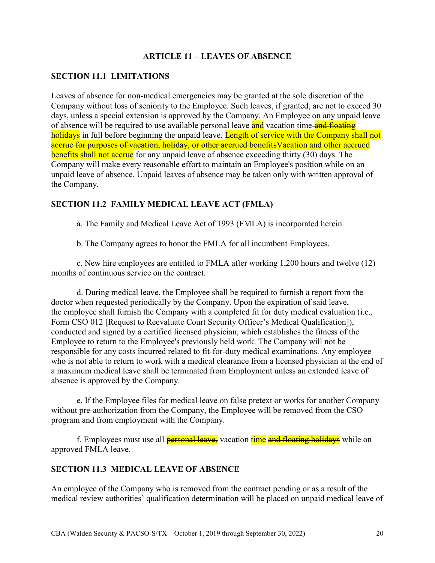# ARTICLE 11 – LEAVES OF ABSENCE

# SECTION 11.1 LIMITATIONS

Leaves of absence for non-medical emergencies may be granted at the sole discretion of the Company without loss of seniority to the Employee. Such leaves, if granted, are not to exceed 30 days, unless a special extension is approved by the Company. An Employee on any unpaid leave of absence will be required to use available personal leave and vacation time and floating holidays in full before beginning the unpaid leave. Length of service with the Company shall not accrue for purposes of vacation, holiday, or other accrued benefitsVacation and other accrued benefits shall not accrue for any unpaid leave of absence exceeding thirty (30) days. The Company will make every reasonable effort to maintain an Employee's position while on an unpaid leave of absence. Unpaid leaves of absence may be taken only with written approval of the Company.

#### SECTION 11.2 FAMILY MEDICAL LEAVE ACT (FMLA)

a. The Family and Medical Leave Act of 1993 (FMLA) is incorporated herein.

b. The Company agrees to honor the FMLA for all incumbent Employees.

c. New hire employees are entitled to FMLA after working 1,200 hours and twelve (12) months of continuous service on the contract.

d. During medical leave, the Employee shall be required to furnish a report from the doctor when requested periodically by the Company. Upon the expiration of said leave, the employee shall furnish the Company with a completed fit for duty medical evaluation (i.e., Form CSO 012 [Request to Reevaluate Court Security Officer's Medical Qualification]), conducted and signed by a certified licensed physician, which establishes the fitness of the Employee to return to the Employee's previously held work. The Company will not be responsible for any costs incurred related to fit-for-duty medical examinations. Any employee who is not able to return to work with a medical clearance from a licensed physician at the end of a maximum medical leave shall be terminated from Employment unless an extended leave of absence is approved by the Company.

e. If the Employee files for medical leave on false pretext or works for another Company without pre-authorization from the Company, the Employee will be removed from the CSO program and from employment with the Company.

f. Employees must use all *personal leave*, vacation time and floating holidays while on approved FMLA leave.

# SECTION 11.3 MEDICAL LEAVE OF ABSENCE

An employee of the Company who is removed from the contract pending or as a result of the medical review authorities' qualification determination will be placed on unpaid medical leave of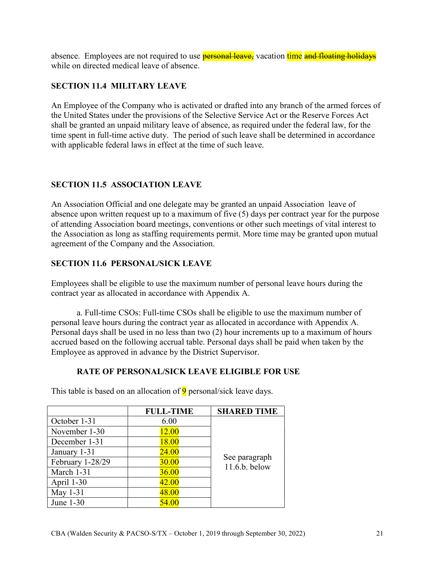absence. Employees are not required to use **personal leave**, vacation time and floating holidays while on directed medical leave of absence.

# SECTION 11.4 MILITARY LEAVE

An Employee of the Company who is activated or drafted into any branch of the armed forces of the United States under the provisions of the Selective Service Act or the Reserve Forces Act shall be granted an unpaid military leave of absence, as required under the federal law, for the time spent in full-time active duty. The period of such leave shall be determined in accordance with applicable federal laws in effect at the time of such leave.

# SECTION 11.5 ASSOCIATION LEAVE

An Association Official and one delegate may be granted an unpaid Association leave of absence upon written request up to a maximum of five (5) days per contract year for the purpose of attending Association board meetings, conventions or other such meetings of vital interest to the Association as long as staffing requirements permit. More time may be granted upon mutual agreement of the Company and the Association.

# SECTION 11.6 PERSONAL/SICK LEAVE

Employees shall be eligible to use the maximum number of personal leave hours during the contract year as allocated in accordance with Appendix A.

a. Full-time CSOs: Full-time CSOs shall be eligible to use the maximum number of personal leave hours during the contract year as allocated in accordance with Appendix A. Personal days shall be used in no less than two (2) hour increments up to a maximum of hours accrued based on the following accrual table. Personal days shall be paid when taken by the Employee as approved in advance by the District Supervisor.

# RATE OF PERSONAL/SICK LEAVE ELIGIBLE FOR USE

|                  | <b>FULL-TIME</b> | <b>SHARED TIME</b>               |
|------------------|------------------|----------------------------------|
| October 1-31     | 6.00             |                                  |
| November 1-30    | 12.00            |                                  |
| December 1-31    | 18.00            |                                  |
| January 1-31     | 24.00            |                                  |
| February 1-28/29 | 30.00            | See paragraph<br>$11.6.b.$ below |
| March 1-31       | 36.00            |                                  |
| April 1-30       | 42.00            |                                  |
| May 1-31         | 48.00            |                                  |
| June 1-30        | 54.00            |                                  |

This table is based on an allocation of  $9$  personal/sick leave days.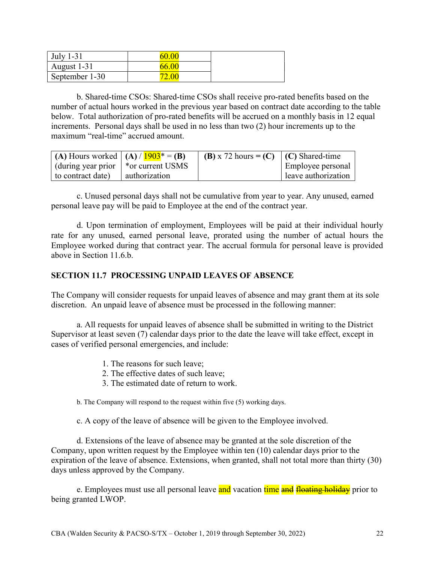| <b>July 1-31</b> | ำเ |  |
|------------------|----|--|
| August 1-31      | ნ6 |  |
| September 1-30   |    |  |

b. Shared-time CSOs: Shared-time CSOs shall receive pro-rated benefits based on the number of actual hours worked in the previous year based on contract date according to the table below. Total authorization of pro-rated benefits will be accrued on a monthly basis in 12 equal increments. Personal days shall be used in no less than two (2) hour increments up to the maximum "real-time" accrued amount.

| $(A)$ Hours worked $(A)/1903^* = (B)$                            |               | (B) x 72 hours = (C) $\mid$ (C) Shared-time |                     |
|------------------------------------------------------------------|---------------|---------------------------------------------|---------------------|
| $\frac{1}{2}$ (during year prior $\frac{1}{2}$ * or current USMS |               |                                             | Employee personal   |
| to contract date)                                                | authorization |                                             | leave authorization |

c. Unused personal days shall not be cumulative from year to year. Any unused, earned personal leave pay will be paid to Employee at the end of the contract year.

d. Upon termination of employment, Employees will be paid at their individual hourly rate for any unused, earned personal leave, prorated using the number of actual hours the Employee worked during that contract year. The accrual formula for personal leave is provided above in Section 11.6.b.

# SECTION 11.7 PROCESSING UNPAID LEAVES OF ABSENCE

The Company will consider requests for unpaid leaves of absence and may grant them at its sole discretion. An unpaid leave of absence must be processed in the following manner:

a. All requests for unpaid leaves of absence shall be submitted in writing to the District Supervisor at least seven (7) calendar days prior to the date the leave will take effect, except in cases of verified personal emergencies, and include:

- 1. The reasons for such leave;
- 2. The effective dates of such leave;
- 3. The estimated date of return to work.

b. The Company will respond to the request within five (5) working days.

c. A copy of the leave of absence will be given to the Employee involved.

d. Extensions of the leave of absence may be granted at the sole discretion of the Company, upon written request by the Employee within ten (10) calendar days prior to the expiration of the leave of absence. Extensions, when granted, shall not total more than thirty (30) days unless approved by the Company.

e. Employees must use all personal leave and vacation time and floating holiday prior to being granted LWOP.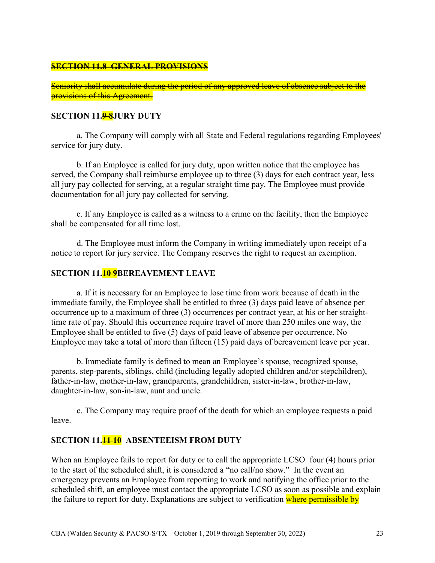#### SECTION 11.8 GENERAL PROVISIONS

Seniority shall accumulate during the period of any approved leave of absence subject to the provisions of this Agreement.

#### SECTION 11.98JURY DUTY

a. The Company will comply with all State and Federal regulations regarding Employees' service for jury duty.

b. If an Employee is called for jury duty, upon written notice that the employee has served, the Company shall reimburse employee up to three (3) days for each contract year, less all jury pay collected for serving, at a regular straight time pay. The Employee must provide documentation for all jury pay collected for serving.

c. If any Employee is called as a witness to a crime on the facility, then the Employee shall be compensated for all time lost.

d. The Employee must inform the Company in writing immediately upon receipt of a notice to report for jury service. The Company reserves the right to request an exemption.

#### SECTION 11.10-9BEREAVEMENT LEAVE

a. If it is necessary for an Employee to lose time from work because of death in the immediate family, the Employee shall be entitled to three (3) days paid leave of absence per occurrence up to a maximum of three (3) occurrences per contract year, at his or her straighttime rate of pay. Should this occurrence require travel of more than 250 miles one way, the Employee shall be entitled to five (5) days of paid leave of absence per occurrence. No Employee may take a total of more than fifteen (15) paid days of bereavement leave per year.

b. Immediate family is defined to mean an Employee's spouse, recognized spouse, parents, step-parents, siblings, child (including legally adopted children and/or stepchildren), father-in-law, mother-in-law, grandparents, grandchildren, sister-in-law, brother-in-law, daughter-in-law, son-in-law, aunt and uncle.

c. The Company may require proof of the death for which an employee requests a paid leave.

#### SECTION 11.<sup>11</sup>10 ABSENTEEISM FROM DUTY

When an Employee fails to report for duty or to call the appropriate LCSO four (4) hours prior to the start of the scheduled shift, it is considered a "no call/no show." In the event an emergency prevents an Employee from reporting to work and notifying the office prior to the scheduled shift, an employee must contact the appropriate LCSO as soon as possible and explain the failure to report for duty. Explanations are subject to verification where permissible by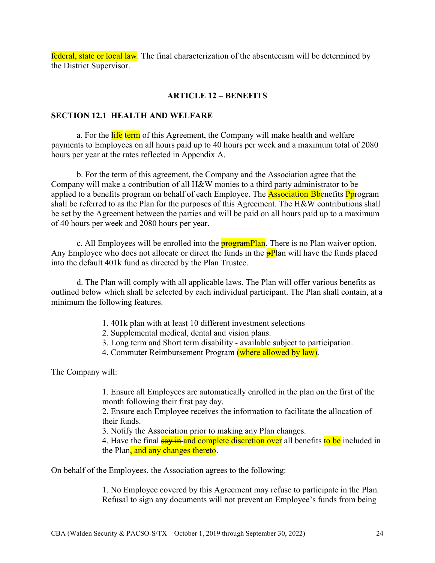federal, state or local law. The final characterization of the absenteeism will be determined by the District Supervisor.

# ARTICLE 12 – BENEFITS

#### SECTION 12.1 HEALTH AND WELFARE

a. For the life term of this Agreement, the Company will make health and welfare payments to Employees on all hours paid up to 40 hours per week and a maximum total of 2080 hours per year at the rates reflected in Appendix A.

b. For the term of this agreement, the Company and the Association agree that the Company will make a contribution of all H&W monies to a third party administrator to be applied to a benefits program on behalf of each Employee. The **Association Bb**enefits **P**program shall be referred to as the Plan for the purposes of this Agreement. The H&W contributions shall be set by the Agreement between the parties and will be paid on all hours paid up to a maximum of 40 hours per week and 2080 hours per year.

c. All Employees will be enrolled into the **programPlan**. There is no Plan waiver option. Any Employee who does not allocate or direct the funds in the  $\frac{\partial P}{\partial n}$  will have the funds placed into the default 401k fund as directed by the Plan Trustee.

d. The Plan will comply with all applicable laws. The Plan will offer various benefits as outlined below which shall be selected by each individual participant. The Plan shall contain, at a minimum the following features.

- 1. 401k plan with at least 10 different investment selections
- 2. Supplemental medical, dental and vision plans.
- 3. Long term and Short term disability available subject to participation.
- 4. Commuter Reimbursement Program (where allowed by law).

The Company will:

1. Ensure all Employees are automatically enrolled in the plan on the first of the month following their first pay day.

2. Ensure each Employee receives the information to facilitate the allocation of their funds.

3. Notify the Association prior to making any Plan changes.

4. Have the final say in and complete discretion over all benefits to be included in the Plan, and any changes thereto.

On behalf of the Employees, the Association agrees to the following:

1. No Employee covered by this Agreement may refuse to participate in the Plan. Refusal to sign any documents will not prevent an Employee's funds from being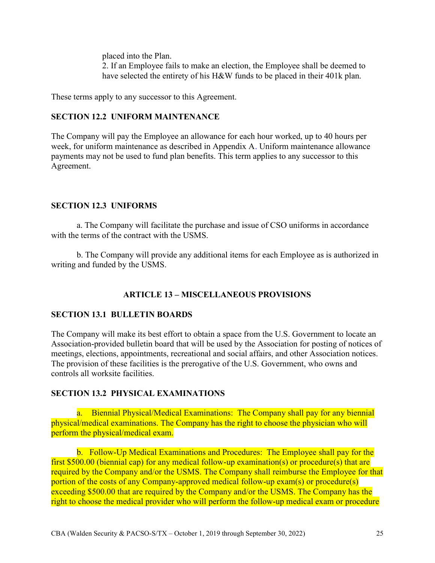placed into the Plan. 2. If an Employee fails to make an election, the Employee shall be deemed to have selected the entirety of his H&W funds to be placed in their 401k plan.

These terms apply to any successor to this Agreement.

# SECTION 12.2 UNIFORM MAINTENANCE

The Company will pay the Employee an allowance for each hour worked, up to 40 hours per week, for uniform maintenance as described in Appendix A. Uniform maintenance allowance payments may not be used to fund plan benefits. This term applies to any successor to this Agreement.

# SECTION 12.3 UNIFORMS

a. The Company will facilitate the purchase and issue of CSO uniforms in accordance with the terms of the contract with the USMS.

b. The Company will provide any additional items for each Employee as is authorized in writing and funded by the USMS.

# ARTICLE 13 – MISCELLANEOUS PROVISIONS

#### SECTION 13.1 BULLETIN BOARDS

The Company will make its best effort to obtain a space from the U.S. Government to locate an Association-provided bulletin board that will be used by the Association for posting of notices of meetings, elections, appointments, recreational and social affairs, and other Association notices. The provision of these facilities is the prerogative of the U.S. Government, who owns and controls all worksite facilities.

# SECTION 13.2 PHYSICAL EXAMINATIONS

a. Biennial Physical/Medical Examinations: The Company shall pay for any biennial physical/medical examinations. The Company has the right to choose the physician who will perform the physical/medical exam.

b. Follow-Up Medical Examinations and Procedures: The Employee shall pay for the first \$500.00 (biennial cap) for any medical follow-up examination(s) or procedure(s) that are required by the Company and/or the USMS. The Company shall reimburse the Employee for that portion of the costs of any Company-approved medical follow-up exam(s) or procedure(s) exceeding \$500.00 that are required by the Company and/or the USMS. The Company has the right to choose the medical provider who will perform the follow-up medical exam or procedure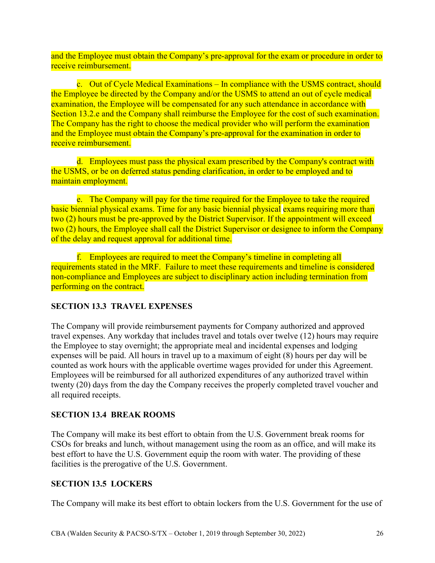and the Employee must obtain the Company's pre-approval for the exam or procedure in order to receive reimbursement.

c. Out of Cycle Medical Examinations – In compliance with the USMS contract, should the Employee be directed by the Company and/or the USMS to attend an out of cycle medical examination, the Employee will be compensated for any such attendance in accordance with Section 13.2.e and the Company shall reimburse the Employee for the cost of such examination. The Company has the right to choose the medical provider who will perform the examination and the Employee must obtain the Company's pre-approval for the examination in order to receive reimbursement.

d. Employees must pass the physical exam prescribed by the Company's contract with the USMS, or be on deferred status pending clarification, in order to be employed and to maintain employment.

e. The Company will pay for the time required for the Employee to take the required basic biennial physical exams. Time for any basic biennial physical exams requiring more than two (2) hours must be pre-approved by the District Supervisor. If the appointment will exceed two (2) hours, the Employee shall call the District Supervisor or designee to inform the Company of the delay and request approval for additional time.

f. Employees are required to meet the Company's timeline in completing all requirements stated in the MRF. Failure to meet these requirements and timeline is considered non-compliance and Employees are subject to disciplinary action including termination from performing on the contract.

# SECTION 13.3 TRAVEL EXPENSES

The Company will provide reimbursement payments for Company authorized and approved travel expenses. Any workday that includes travel and totals over twelve (12) hours may require the Employee to stay overnight; the appropriate meal and incidental expenses and lodging expenses will be paid. All hours in travel up to a maximum of eight (8) hours per day will be counted as work hours with the applicable overtime wages provided for under this Agreement. Employees will be reimbursed for all authorized expenditures of any authorized travel within twenty (20) days from the day the Company receives the properly completed travel voucher and all required receipts.

# SECTION 13.4 BREAK ROOMS

The Company will make its best effort to obtain from the U.S. Government break rooms for CSOs for breaks and lunch, without management using the room as an office, and will make its best effort to have the U.S. Government equip the room with water. The providing of these facilities is the prerogative of the U.S. Government.

#### SECTION 13.5 LOCKERS

The Company will make its best effort to obtain lockers from the U.S. Government for the use of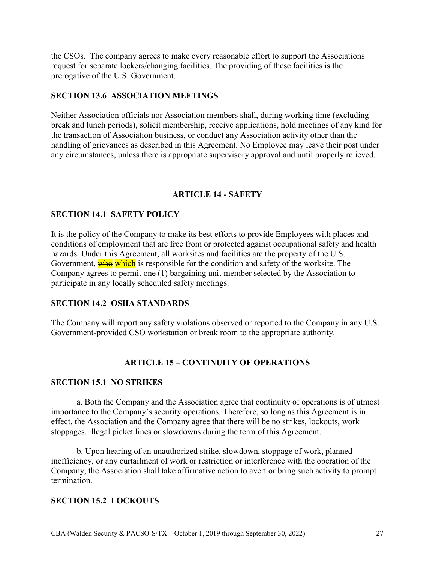the CSOs. The company agrees to make every reasonable effort to support the Associations request for separate lockers/changing facilities. The providing of these facilities is the prerogative of the U.S. Government.

# SECTION 13.6 ASSOCIATION MEETINGS

Neither Association officials nor Association members shall, during working time (excluding break and lunch periods), solicit membership, receive applications, hold meetings of any kind for the transaction of Association business, or conduct any Association activity other than the handling of grievances as described in this Agreement. No Employee may leave their post under any circumstances, unless there is appropriate supervisory approval and until properly relieved.

# ARTICLE 14 - SAFETY

# SECTION 14.1 SAFETY POLICY

It is the policy of the Company to make its best efforts to provide Employees with places and conditions of employment that are free from or protected against occupational safety and health hazards. Under this Agreement, all worksites and facilities are the property of the U.S. Government, who which is responsible for the condition and safety of the worksite. The Company agrees to permit one (1) bargaining unit member selected by the Association to participate in any locally scheduled safety meetings.

#### SECTION 14.2 OSHA STANDARDS

The Company will report any safety violations observed or reported to the Company in any U.S. Government-provided CSO workstation or break room to the appropriate authority.

# ARTICLE 15 – CONTINUITY OF OPERATIONS

#### SECTION 15.1 NO STRIKES

a. Both the Company and the Association agree that continuity of operations is of utmost importance to the Company's security operations. Therefore, so long as this Agreement is in effect, the Association and the Company agree that there will be no strikes, lockouts, work stoppages, illegal picket lines or slowdowns during the term of this Agreement.

b. Upon hearing of an unauthorized strike, slowdown, stoppage of work, planned inefficiency, or any curtailment of work or restriction or interference with the operation of the Company, the Association shall take affirmative action to avert or bring such activity to prompt termination.

#### SECTION 15.2 LOCKOUTS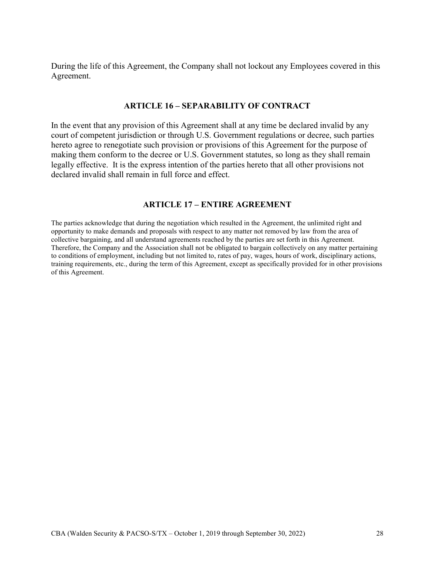During the life of this Agreement, the Company shall not lockout any Employees covered in this Agreement.

#### ARTICLE 16 – SEPARABILITY OF CONTRACT

In the event that any provision of this Agreement shall at any time be declared invalid by any court of competent jurisdiction or through U.S. Government regulations or decree, such parties hereto agree to renegotiate such provision or provisions of this Agreement for the purpose of making them conform to the decree or U.S. Government statutes, so long as they shall remain legally effective. It is the express intention of the parties hereto that all other provisions not declared invalid shall remain in full force and effect.

#### ARTICLE 17 – ENTIRE AGREEMENT

The parties acknowledge that during the negotiation which resulted in the Agreement, the unlimited right and opportunity to make demands and proposals with respect to any matter not removed by law from the area of collective bargaining, and all understand agreements reached by the parties are set forth in this Agreement. Therefore, the Company and the Association shall not be obligated to bargain collectively on any matter pertaining to conditions of employment, including but not limited to, rates of pay, wages, hours of work, disciplinary actions, training requirements, etc., during the term of this Agreement, except as specifically provided for in other provisions of this Agreement.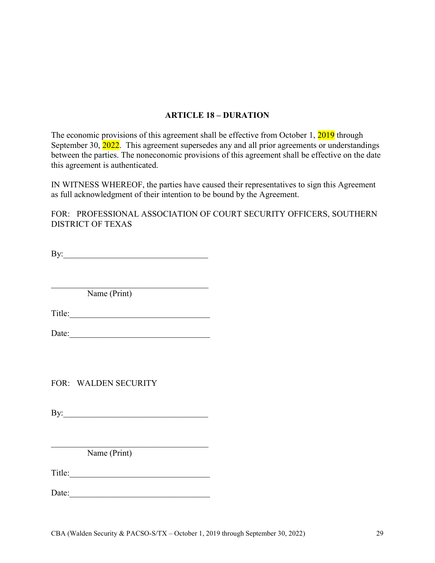# ARTICLE 18 – DURATION

The economic provisions of this agreement shall be effective from October 1, 2019 through September 30, 2022. This agreement supersedes any and all prior agreements or understandings between the parties. The noneconomic provisions of this agreement shall be effective on the date this agreement is authenticated.

IN WITNESS WHEREOF, the parties have caused their representatives to sign this Agreement as full acknowledgment of their intention to be bound by the Agreement.

FOR: PROFESSIONAL ASSOCIATION OF COURT SECURITY OFFICERS, SOUTHERN DISTRICT OF TEXAS

By:

Name (Print)

Title:

 $\mathcal{L}_\text{max}$  and  $\mathcal{L}_\text{max}$  and  $\mathcal{L}_\text{max}$  and  $\mathcal{L}_\text{max}$ 

Date:

FOR: WALDEN SECURITY

By:

Name (Print)

Title:\_\_\_\_\_\_\_\_\_\_\_\_\_\_\_\_\_\_\_\_\_\_\_\_\_\_\_\_\_\_\_\_\_

Date: